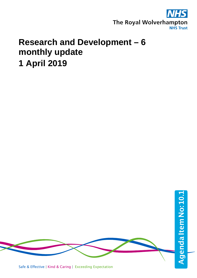

## **Research and Development – 6 monthly update 1 April 2019**



Safe & Effective | Kind & Caring | Exceeding Expectation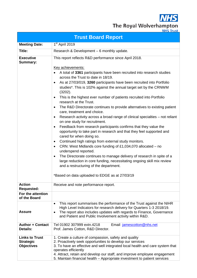**NHS** 

The Royal Wolverhampton

|                                                                | <b>Trust Board Report</b>                                                                                                                                                                                                                                                                                                                                                                                                                                                                                                                                                                                                                                                                                                                                                                                                                                                                                                                                                                                                                                                                                                                                                                                                                           |  |  |  |  |  |  |  |
|----------------------------------------------------------------|-----------------------------------------------------------------------------------------------------------------------------------------------------------------------------------------------------------------------------------------------------------------------------------------------------------------------------------------------------------------------------------------------------------------------------------------------------------------------------------------------------------------------------------------------------------------------------------------------------------------------------------------------------------------------------------------------------------------------------------------------------------------------------------------------------------------------------------------------------------------------------------------------------------------------------------------------------------------------------------------------------------------------------------------------------------------------------------------------------------------------------------------------------------------------------------------------------------------------------------------------------|--|--|--|--|--|--|--|
| <b>Meeting Date:</b>                                           | 1 <sup>st</sup> April 2019                                                                                                                                                                                                                                                                                                                                                                                                                                                                                                                                                                                                                                                                                                                                                                                                                                                                                                                                                                                                                                                                                                                                                                                                                          |  |  |  |  |  |  |  |
| Title:                                                         | Research & Development - 6 monthly update.                                                                                                                                                                                                                                                                                                                                                                                                                                                                                                                                                                                                                                                                                                                                                                                                                                                                                                                                                                                                                                                                                                                                                                                                          |  |  |  |  |  |  |  |
| <b>Executive</b><br><b>Summary:</b>                            | This report reflects R&D performance since April 2018.<br>Key achievements:<br>A total of 3361 participants have been recruited into research studies<br>across the Trust to date in 18/19.<br>As at 27/03/019, 3260 participants have been recruited into Portfolio<br>studies*. This is 102% against the annual target set by the CRNWM<br>(3202).<br>This is the highest ever number of patients recruited into Portfolio<br>٠<br>research at the Trust.<br>The R&D Directorate continues to provide alternatives to existing patient<br>٠<br>care, treatment and choice.<br>Research activity across a broad range of clinical specialties – not reliant<br>٠<br>on one study for recruitment.<br>Feedback from research participants confirms that they value the<br>٠<br>opportunity to take part in research and that they feel supported and<br>cared for when doing so.<br>Continued high ratings from external study monitors.<br>$\bullet$<br>CRN: West Midlands core funding of £1,034,070 allocated $-$ no<br>٠<br>underspend reported.<br>The Directorate continues to manage delivery of research in spite of a<br>large reduction in core funding, necessitating ongoing skill mix review<br>and a restructuring of the department. |  |  |  |  |  |  |  |
| <b>Action</b>                                                  | *Based on data uploaded to EDGE as at 27/03/19<br>Receive and note performance report.                                                                                                                                                                                                                                                                                                                                                                                                                                                                                                                                                                                                                                                                                                                                                                                                                                                                                                                                                                                                                                                                                                                                                              |  |  |  |  |  |  |  |
| <b>Requested:</b>                                              |                                                                                                                                                                                                                                                                                                                                                                                                                                                                                                                                                                                                                                                                                                                                                                                                                                                                                                                                                                                                                                                                                                                                                                                                                                                     |  |  |  |  |  |  |  |
| For the attention<br>of the Board                              |                                                                                                                                                                                                                                                                                                                                                                                                                                                                                                                                                                                                                                                                                                                                                                                                                                                                                                                                                                                                                                                                                                                                                                                                                                                     |  |  |  |  |  |  |  |
| <b>Assure</b>                                                  | This report summarises the performance of the Trust against the NIHR<br>$\bullet$<br>High Level Indicators for research delivery for Quarters 1-3 2018/19.<br>The report also includes updates with regards to Finance, Governance<br>and Patient and Public Involvement activity within R&D.                                                                                                                                                                                                                                                                                                                                                                                                                                                                                                                                                                                                                                                                                                                                                                                                                                                                                                                                                       |  |  |  |  |  |  |  |
| <b>Author + Contact</b><br><b>Details:</b>                     | Tel 01902 307999 extn.4218<br>Email jamescotton@nhs.net<br>Prof. James Cotton, R&D Director.                                                                                                                                                                                                                                                                                                                                                                                                                                                                                                                                                                                                                                                                                                                                                                                                                                                                                                                                                                                                                                                                                                                                                        |  |  |  |  |  |  |  |
| <b>Links to Trust</b><br><b>Strategic</b><br><b>Objectives</b> | 1. Create a culture of compassion, safety and quality<br>2. Proactively seek opportunities to develop our services<br>3. To have an effective and well integrated local health and care system that<br>operates efficiently<br>4. Attract, retain and develop our staff, and improve employee engagement<br>5. Maintain financial health – Appropriate investment to patient services                                                                                                                                                                                                                                                                                                                                                                                                                                                                                                                                                                                                                                                                                                                                                                                                                                                               |  |  |  |  |  |  |  |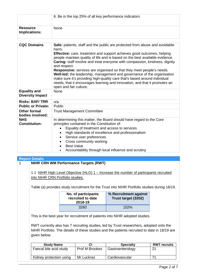|                                                | 6. Be in the top 25% of all key performance indicators                                                                                                                                                                                                                                                                                                                                                                                                                                                                                                                                                                                                                                       |  |  |  |  |
|------------------------------------------------|----------------------------------------------------------------------------------------------------------------------------------------------------------------------------------------------------------------------------------------------------------------------------------------------------------------------------------------------------------------------------------------------------------------------------------------------------------------------------------------------------------------------------------------------------------------------------------------------------------------------------------------------------------------------------------------------|--|--|--|--|
| <b>Resource</b><br>Implications:               | None                                                                                                                                                                                                                                                                                                                                                                                                                                                                                                                                                                                                                                                                                         |  |  |  |  |
| <b>CQC Domains</b>                             | Safe: patients, staff and the public are protected from abuse and avoidable<br>harm.<br><b>Effective:</b> care, treatment and support achieves good outcomes, helping<br>people maintain quality of life and is based on the best available evidence.<br>Caring: staff involve and treat everyone with compassion, kindness, dignity<br>and respect.<br>Responsive: services are organised so that they meet people's needs.<br>Well-led: the leadership, management and governance of the organisation<br>make sure it's providing high-quality care that's based around individual<br>needs, that it encourages learning and innovation, and that it promotes an<br>open and fair culture. |  |  |  |  |
| <b>Equality and</b><br><b>Diversity Impact</b> | <b>None</b>                                                                                                                                                                                                                                                                                                                                                                                                                                                                                                                                                                                                                                                                                  |  |  |  |  |
| <b>Risks: BAF/TRR</b>                          | n/a                                                                                                                                                                                                                                                                                                                                                                                                                                                                                                                                                                                                                                                                                          |  |  |  |  |
| <b>Public or Private:</b>                      | Public                                                                                                                                                                                                                                                                                                                                                                                                                                                                                                                                                                                                                                                                                       |  |  |  |  |
| <b>Other formal</b><br>bodies involved:        | <b>Trust Management Committee</b>                                                                                                                                                                                                                                                                                                                                                                                                                                                                                                                                                                                                                                                            |  |  |  |  |
| <b>NHS</b><br><b>Constitution:</b>             | In determining this matter, the Board should have regard to the Core<br>principles contained in the Constitution of:<br>Equality of treatment and access to services<br>High standards of excellence and professionalism<br>Service user preferences<br>Cross community working<br><b>Best Value</b><br>Accountability through local influence and scrutiny                                                                                                                                                                                                                                                                                                                                  |  |  |  |  |

| <b>Report Details</b>                                                                        |              |                     |                                                                                              |  |  |  |  |  |
|----------------------------------------------------------------------------------------------|--------------|---------------------|----------------------------------------------------------------------------------------------|--|--|--|--|--|
| <b>NIHR CRN WM Performance Targets (RWT)</b>                                                 |              |                     |                                                                                              |  |  |  |  |  |
|                                                                                              |              |                     |                                                                                              |  |  |  |  |  |
| 1.1 NIHR High Level Objective (HLO) 1 – Increase the number of participants recruited        |              |                     |                                                                                              |  |  |  |  |  |
| into NIHR CRN Portfolio studies.                                                             |              |                     |                                                                                              |  |  |  |  |  |
|                                                                                              |              |                     |                                                                                              |  |  |  |  |  |
|                                                                                              |              |                     | Table (a) provides study recruitment for the Trust into NIHR Portfolio studies during 18/19. |  |  |  |  |  |
|                                                                                              |              |                     |                                                                                              |  |  |  |  |  |
|                                                                                              |              | No. of participants | % Recruitment against                                                                        |  |  |  |  |  |
|                                                                                              |              | recruited to date   | Trust target (3202)                                                                          |  |  |  |  |  |
|                                                                                              |              | 2018-19             |                                                                                              |  |  |  |  |  |
|                                                                                              | 3260<br>102% |                     |                                                                                              |  |  |  |  |  |
|                                                                                              |              |                     |                                                                                              |  |  |  |  |  |
| This is the best year for recruitment of patients into NIHR adopted studies.                 |              |                     |                                                                                              |  |  |  |  |  |
| RWT currently also has 7 recruiting studies, led by Trust researchers, adopted onto the      |              |                     |                                                                                              |  |  |  |  |  |
|                                                                                              |              |                     |                                                                                              |  |  |  |  |  |
| NIHR Portfolio. The details of these studies and the patients recruited to date in 18/19 are |              |                     |                                                                                              |  |  |  |  |  |
| given below:                                                                                 |              |                     |                                                                                              |  |  |  |  |  |
|                                                                                              |              |                     |                                                                                              |  |  |  |  |  |
| <b>CI</b><br><b>Specialty</b><br><b>RWT recruits</b><br><b>Study Name</b>                    |              |                     |                                                                                              |  |  |  |  |  |
| Prof M Brookes<br>21<br>Faecal bile acid study<br>Gastroenterology                           |              |                     |                                                                                              |  |  |  |  |  |
|                                                                                              |              |                     |                                                                                              |  |  |  |  |  |
| 71<br>Mr Luckraz<br>Kidney protection using<br>Cardiovascular                                |              |                     |                                                                                              |  |  |  |  |  |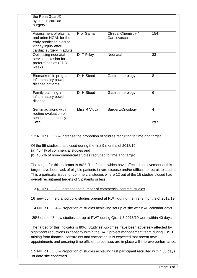| the RenalGuard©<br>system in cardiac<br>surgery                                                                                 |              |                                               |     |
|---------------------------------------------------------------------------------------------------------------------------------|--------------|-----------------------------------------------|-----|
| Assessment of plasma<br>and urine NGAL for the<br>early prediction if acute<br>kidney injury after<br>cardiac surgery in adults | Prof Gama    | <b>Clinical Chemistry /</b><br>Cardiovascular | 154 |
| Optimising neonatal<br>service provision for<br>preterm babies (27-31<br>weeks)                                                 | Dr T Pillay  | Neonatal                                      | 33  |
| Biomarkers in pregnant<br>inflammatory bowel<br>disease patients                                                                | Dr H Steed   | Gastroenterology                              | 8   |
| Family planning in<br>inflammatory bowel<br>disease                                                                             | Dr H Steed   | Gastroenterology                              | 6   |
| Sentimag along with<br>routine evaluation of<br>sentinel node biopsy.                                                           | Miss R Vidya | Surgery/Oncology                              | 4   |
| <b>Total</b>                                                                                                                    |              |                                               | 297 |

## 1.2 NIHR HLO 2 – Increase the proportion of studies recruiting to time and target.

Of the 59 studies that closed during the first 9 months of 2018/19:

- (a) 46.4% of commercial studies and
- (b) 45.2% of non-commercial studies recruited to time and target.

The target for this indicator is 80%. The factors which have affected achievement of this target have been lack of eligible patients in rare disease and/or difficult to recruit to studies. This a particular issue for commercial studies where 12 out of the 15 studies closed had overall recruitment targets of 5 patients or less.

## 1.3 NIHR HLO 3 – Increase the number of commercial contract studies

16 new commercial portfolio studies opened at RWT during the first 9 months of 2018/19.

1.4 NIHR HLO 4 – Proportion of studies achieving set up at site within 40 calendar days

29% of the 48 new studies set-up at RWT during Qtrs 1-3 2018/19 were within 40 days.

The target for this indicator is 80%. Study set-up times have been adversely affected by significant reductions in capacity within the R&D project management team during 18/19 arising from financial constraints and vacancies. It is expected that recent new appointments and ensuring time efficient processes are in place will improve performance.

1.5 NIHR HLO 5 – Proportion of studies achieving first participant recruited within 30 days of date site confirmed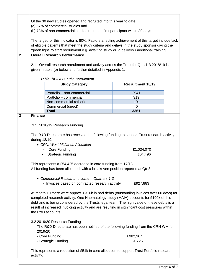| $\mathbf{2}$   | Of the 30 new studies opened and recruited into this year to date,<br>(a) 67% of commercial studies and<br>(b) 78% of non-commercial studies recruited first participant within 30 days.<br>The target for this indicator is 80%. Factors affecting achievement of this target include lack<br>of eligible patients that meet the study criteria and delays in the study sponsor giving the<br>'green light' to start recruitment e.g. awaiting study drug delivery / additional training.<br><b>Overall Research Performance</b><br>2.1 Overall research recruitment and activity across the Trust for Qtrs 1-3 2018/19 is<br>given in table (b) below and further detailed in Appendix 1.                                                                                                                                                                                                                                        |                                                                                                                                                                                                                                                           |                          |  |  |  |  |
|----------------|------------------------------------------------------------------------------------------------------------------------------------------------------------------------------------------------------------------------------------------------------------------------------------------------------------------------------------------------------------------------------------------------------------------------------------------------------------------------------------------------------------------------------------------------------------------------------------------------------------------------------------------------------------------------------------------------------------------------------------------------------------------------------------------------------------------------------------------------------------------------------------------------------------------------------------|-----------------------------------------------------------------------------------------------------------------------------------------------------------------------------------------------------------------------------------------------------------|--------------------------|--|--|--|--|
|                |                                                                                                                                                                                                                                                                                                                                                                                                                                                                                                                                                                                                                                                                                                                                                                                                                                                                                                                                    | Table (b) - All Study Recruitment                                                                                                                                                                                                                         |                          |  |  |  |  |
|                |                                                                                                                                                                                                                                                                                                                                                                                                                                                                                                                                                                                                                                                                                                                                                                                                                                                                                                                                    | <b>Study Category</b>                                                                                                                                                                                                                                     | <b>Recruitment 18/19</b> |  |  |  |  |
|                |                                                                                                                                                                                                                                                                                                                                                                                                                                                                                                                                                                                                                                                                                                                                                                                                                                                                                                                                    | Portfolio - non-commercial                                                                                                                                                                                                                                | 2941                     |  |  |  |  |
|                |                                                                                                                                                                                                                                                                                                                                                                                                                                                                                                                                                                                                                                                                                                                                                                                                                                                                                                                                    | Portfolio - commercial                                                                                                                                                                                                                                    | 319                      |  |  |  |  |
|                |                                                                                                                                                                                                                                                                                                                                                                                                                                                                                                                                                                                                                                                                                                                                                                                                                                                                                                                                    | Non-commercial (other)                                                                                                                                                                                                                                    | 101                      |  |  |  |  |
|                |                                                                                                                                                                                                                                                                                                                                                                                                                                                                                                                                                                                                                                                                                                                                                                                                                                                                                                                                    | Commercial (direct)                                                                                                                                                                                                                                       | $\Omega$                 |  |  |  |  |
| $\overline{3}$ | <b>Finance</b>                                                                                                                                                                                                                                                                                                                                                                                                                                                                                                                                                                                                                                                                                                                                                                                                                                                                                                                     | <b>Total</b>                                                                                                                                                                                                                                              | 3361                     |  |  |  |  |
|                | 3.1_2018/19 Research Funding<br>The R&D Directorate has received the following funding to support Trust research activity<br>during 18/19:<br>• CRN: West Midlands Allocation<br><b>Core Funding</b><br>£1,034,070<br><b>Strategic Funding</b><br>£64,496<br>This represents a £54,425 decrease in core funding from 17/18.<br>All funding has been allocated, with a breakeven position reported at Qtr 3.<br>• Commercial Research Income - Quarters 1-3<br>- Invoices based on contracted research activity<br>£927,883<br>At month 10 there were approx. £310k in bad debts (outstanding invoices over 60 days) for<br>completed research activity. One Haematology study (MAIA) accounts for £190k of this<br>debt and is being considered by the Trusts legal team. The high value of these debts is a<br>result of increased invoicing activity and are resulting in significant cost pressures within<br>the R&D accounts. |                                                                                                                                                                                                                                                           |                          |  |  |  |  |
|                | 2019/20<br>activity.                                                                                                                                                                                                                                                                                                                                                                                                                                                                                                                                                                                                                                                                                                                                                                                                                                                                                                               | 3.2 2019/20 Research Funding<br>The R&D Directorate has been notified of the following funding from the CRN WM for<br>- Core Funding<br>- Strategic Funding<br>This represents a reduction of £51k in core allocation to support Trust Portfolio research | £982,367<br>£81,726      |  |  |  |  |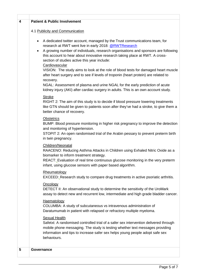| 4 | <b>Patient &amp; Public Involvement</b>                                                                                                                                                                                                                                                                                                                                                                                                                                                                                                                                                                                                                                                                                                                                               |
|---|---------------------------------------------------------------------------------------------------------------------------------------------------------------------------------------------------------------------------------------------------------------------------------------------------------------------------------------------------------------------------------------------------------------------------------------------------------------------------------------------------------------------------------------------------------------------------------------------------------------------------------------------------------------------------------------------------------------------------------------------------------------------------------------|
|   | 4.1 Publicity and Communication                                                                                                                                                                                                                                                                                                                                                                                                                                                                                                                                                                                                                                                                                                                                                       |
|   | A dedicated twitter account, managed by the Trust communications team, for<br>$\bullet$<br>research at RWT went live in early 2018: @RWTResearch<br>A growing number of individuals, research organisations and sponsors are following<br>$\bullet$<br>this account to hear about innovative research taking place at RWT. A cross-<br>section of studies active this year include:<br>Cardiovascular<br>VISION: The study aims to look at the role of blood tests for damaged heart muscle<br>after heart surgery and to see if levels of troponin (heart protein) are related to<br>recovery.<br>NGAL: Assessment of plasma and urine NGAL for the early prediction of acute<br>kidney injury (AKI) after cardiac surgery in adults. This is an own account study.<br><b>Stroke</b> |
|   | RIGHT 2: The aim of this study is to decide if blood pressure lowering treatments<br>like GTN should be given to patients soon after they've had a stroke, to give them a<br>better chance of recovery.                                                                                                                                                                                                                                                                                                                                                                                                                                                                                                                                                                               |
|   | <b>Obstetrics</b><br>BUMP: Blood pressure monitoring in higher risk pregnancy to improve the detection<br>and monitoring of hypertension.<br>STOPIT 2: An open randomised trial of the Arabin pessary to prevent preterm birth<br>in twin pregnancy.                                                                                                                                                                                                                                                                                                                                                                                                                                                                                                                                  |
|   | Children/Neonatal<br>RAACENO: Reducing Asthma Attacks in Children using Exhaled Nitric Oxide as a<br>biomarker to inform treatment strategy.<br>REACT: Evaluation of real time continuous glucose monitoring in the very preterm<br>infant, using glucose sensors with paper based algorithm.                                                                                                                                                                                                                                                                                                                                                                                                                                                                                         |
|   | Rheumatology<br>EXCEED: Research study to compare drug treatments in active psoriatic arthritis.                                                                                                                                                                                                                                                                                                                                                                                                                                                                                                                                                                                                                                                                                      |
|   | Oncology<br>DETECT II: An observational study to determine the sensitivity of the UroMark<br>assay to detect new and recurrent low, intermediate and high grade bladder cancer.                                                                                                                                                                                                                                                                                                                                                                                                                                                                                                                                                                                                       |
|   | Haematology<br>COLUMBA: A study of subcutaneous vs intravenous administration of<br>Daratumumab in patient with relapsed or refractory multiple myeloma.                                                                                                                                                                                                                                                                                                                                                                                                                                                                                                                                                                                                                              |
|   | <b>Sexual Health</b><br>Safetxt: A randomised controlled trial of a safer sex intervention delivered through<br>mobile phone messaging. The study is testing whether text messages providing<br>information and tips to increase safer sex helps young people adopt safe sex<br>behaviours.                                                                                                                                                                                                                                                                                                                                                                                                                                                                                           |
| 5 | Governance                                                                                                                                                                                                                                                                                                                                                                                                                                                                                                                                                                                                                                                                                                                                                                            |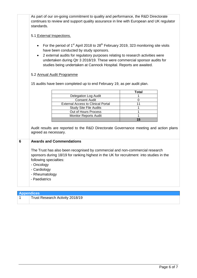|   | As part of our on-going commitment to quality and performance, the R&D Directorate<br>continues to review and support quality assurance in line with European and UK regulator<br>standards.                                                                                                                                                                                                                        |              |  |  |  |  |  |  |
|---|---------------------------------------------------------------------------------------------------------------------------------------------------------------------------------------------------------------------------------------------------------------------------------------------------------------------------------------------------------------------------------------------------------------------|--------------|--|--|--|--|--|--|
|   | 5.1 External Inspections.                                                                                                                                                                                                                                                                                                                                                                                           |              |  |  |  |  |  |  |
|   | For the period of 1 <sup>st</sup> April 2018 to 28 <sup>th</sup> February 2019, 323 monitoring site visits<br>$\bullet$<br>have been conducted by study sponsors.<br>2 external audits for regulatory purposes relating to research activities were<br>$\bullet$<br>undertaken during Qtr 3 2018/19. These were commercial sponsor audits for<br>studies being undertaken at Cannock Hospital. Reports are awaited. |              |  |  |  |  |  |  |
|   | 5.2 Annual Audit Programme                                                                                                                                                                                                                                                                                                                                                                                          |              |  |  |  |  |  |  |
|   | 15 audits have been completed up to end February 19, as per audit plan.                                                                                                                                                                                                                                                                                                                                             |              |  |  |  |  |  |  |
|   |                                                                                                                                                                                                                                                                                                                                                                                                                     | <b>Total</b> |  |  |  |  |  |  |
|   | <b>Delegation Log Audit</b>                                                                                                                                                                                                                                                                                                                                                                                         |              |  |  |  |  |  |  |
|   | <b>Consent Audit</b>                                                                                                                                                                                                                                                                                                                                                                                                | 0            |  |  |  |  |  |  |
|   | <b>External Access to Clinical Portal</b>                                                                                                                                                                                                                                                                                                                                                                           | 11           |  |  |  |  |  |  |
|   | <b>Study Site File Audits</b>                                                                                                                                                                                                                                                                                                                                                                                       | 1            |  |  |  |  |  |  |
|   | 1                                                                                                                                                                                                                                                                                                                                                                                                                   |              |  |  |  |  |  |  |
|   | Out of Hours Process<br><b>Monitor Reports Audit</b>                                                                                                                                                                                                                                                                                                                                                                | 1            |  |  |  |  |  |  |
|   | 15                                                                                                                                                                                                                                                                                                                                                                                                                  |              |  |  |  |  |  |  |
|   |                                                                                                                                                                                                                                                                                                                                                                                                                     |              |  |  |  |  |  |  |
|   | Audit results are reported to the R&D Directorate Governance meeting and action plans<br>agreed as necessary.                                                                                                                                                                                                                                                                                                       |              |  |  |  |  |  |  |
| 6 | <b>Awards and Commendations</b>                                                                                                                                                                                                                                                                                                                                                                                     |              |  |  |  |  |  |  |
|   | The Trust has also been recognised by commercial and non-commercial research                                                                                                                                                                                                                                                                                                                                        |              |  |  |  |  |  |  |
|   | sponsors during 18/19 for ranking highest in the UK for recruitment into studies in the<br>following specialties:                                                                                                                                                                                                                                                                                                   |              |  |  |  |  |  |  |
|   |                                                                                                                                                                                                                                                                                                                                                                                                                     |              |  |  |  |  |  |  |
|   | - Oncology                                                                                                                                                                                                                                                                                                                                                                                                          |              |  |  |  |  |  |  |
|   | - Cardiology                                                                                                                                                                                                                                                                                                                                                                                                        |              |  |  |  |  |  |  |
|   | - Rheumatology                                                                                                                                                                                                                                                                                                                                                                                                      |              |  |  |  |  |  |  |
|   |                                                                                                                                                                                                                                                                                                                                                                                                                     |              |  |  |  |  |  |  |
|   | - Paediatrics                                                                                                                                                                                                                                                                                                                                                                                                       |              |  |  |  |  |  |  |
|   |                                                                                                                                                                                                                                                                                                                                                                                                                     |              |  |  |  |  |  |  |

| <b>Appendices</b>               |
|---------------------------------|
| Trust Research Activity 2018/19 |